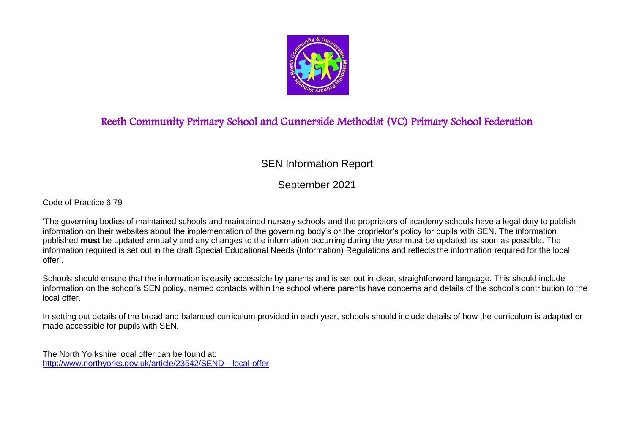

# Reeth Community Primary School and Gunnerside Methodist (VC) Primary School Federation

# SEN Information Report

September 2021

Code of Practice 6.79

'The governing bodies of maintained schools and maintained nursery schools and the proprietors of academy schools have a legal duty to publish information on their websites about the implementation of the governing body's or the proprietor's policy for pupils with SEN. The information published **must** be updated annually and any changes to the information occurring during the year must be updated as soon as possible. The information required is set out in the draft Special Educational Needs (Information) Regulations and reflects the information required for the local offer'.

Schools should ensure that the information is easily accessible by parents and is set out in clear, straightforward language. This should include information on the school's SEN policy, named contacts within the school where parents have concerns and details of the school's contribution to the local offer.

In setting out details of the broad and balanced curriculum provided in each year, schools should include details of how the curriculum is adapted or made accessible for pupils with SEN.

The North Yorkshire local offer can be found at: <http://www.northyorks.gov.uk/article/23542/SEND---local-offer>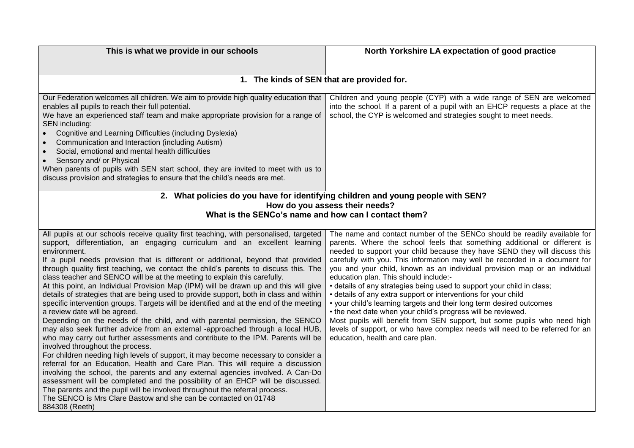| This is what we provide in our schools                                                                                                                                                                                                                                                                                                                                                                                                                                                                                                                                                                                                                                                                                                                                                                                                                                                                                                                                                                                                                                                                                                                                                                                                                                                                                                                                                                                                                                                                                                                              | North Yorkshire LA expectation of good practice                                                                                                                                                                                                                                                                                                                                                                                                                                                                                                                                                                                                                                                                                                                                                                                                                                                                              |
|---------------------------------------------------------------------------------------------------------------------------------------------------------------------------------------------------------------------------------------------------------------------------------------------------------------------------------------------------------------------------------------------------------------------------------------------------------------------------------------------------------------------------------------------------------------------------------------------------------------------------------------------------------------------------------------------------------------------------------------------------------------------------------------------------------------------------------------------------------------------------------------------------------------------------------------------------------------------------------------------------------------------------------------------------------------------------------------------------------------------------------------------------------------------------------------------------------------------------------------------------------------------------------------------------------------------------------------------------------------------------------------------------------------------------------------------------------------------------------------------------------------------------------------------------------------------|------------------------------------------------------------------------------------------------------------------------------------------------------------------------------------------------------------------------------------------------------------------------------------------------------------------------------------------------------------------------------------------------------------------------------------------------------------------------------------------------------------------------------------------------------------------------------------------------------------------------------------------------------------------------------------------------------------------------------------------------------------------------------------------------------------------------------------------------------------------------------------------------------------------------------|
|                                                                                                                                                                                                                                                                                                                                                                                                                                                                                                                                                                                                                                                                                                                                                                                                                                                                                                                                                                                                                                                                                                                                                                                                                                                                                                                                                                                                                                                                                                                                                                     |                                                                                                                                                                                                                                                                                                                                                                                                                                                                                                                                                                                                                                                                                                                                                                                                                                                                                                                              |
| 1. The kinds of SEN that are provided for.                                                                                                                                                                                                                                                                                                                                                                                                                                                                                                                                                                                                                                                                                                                                                                                                                                                                                                                                                                                                                                                                                                                                                                                                                                                                                                                                                                                                                                                                                                                          |                                                                                                                                                                                                                                                                                                                                                                                                                                                                                                                                                                                                                                                                                                                                                                                                                                                                                                                              |
| Our Federation welcomes all children. We aim to provide high quality education that<br>enables all pupils to reach their full potential.<br>We have an experienced staff team and make appropriate provision for a range of<br>SEN including:<br>Cognitive and Learning Difficulties (including Dyslexia)<br>Communication and Interaction (including Autism)<br>Social, emotional and mental health difficulties<br>Sensory and/ or Physical<br>When parents of pupils with SEN start school, they are invited to meet with us to<br>discuss provision and strategies to ensure that the child's needs are met.                                                                                                                                                                                                                                                                                                                                                                                                                                                                                                                                                                                                                                                                                                                                                                                                                                                                                                                                                    | Children and young people (CYP) with a wide range of SEN are welcomed<br>into the school. If a parent of a pupil with an EHCP requests a place at the<br>school, the CYP is welcomed and strategies sought to meet needs.                                                                                                                                                                                                                                                                                                                                                                                                                                                                                                                                                                                                                                                                                                    |
| 2. What policies do you have for identifying children and young people with SEN?                                                                                                                                                                                                                                                                                                                                                                                                                                                                                                                                                                                                                                                                                                                                                                                                                                                                                                                                                                                                                                                                                                                                                                                                                                                                                                                                                                                                                                                                                    |                                                                                                                                                                                                                                                                                                                                                                                                                                                                                                                                                                                                                                                                                                                                                                                                                                                                                                                              |
| How do you assess their needs?<br>What is the SENCo's name and how can I contact them?                                                                                                                                                                                                                                                                                                                                                                                                                                                                                                                                                                                                                                                                                                                                                                                                                                                                                                                                                                                                                                                                                                                                                                                                                                                                                                                                                                                                                                                                              |                                                                                                                                                                                                                                                                                                                                                                                                                                                                                                                                                                                                                                                                                                                                                                                                                                                                                                                              |
| All pupils at our schools receive quality first teaching, with personalised, targeted<br>support, differentiation, an engaging curriculum and an excellent learning<br>environment.<br>If a pupil needs provision that is different or additional, beyond that provided<br>through quality first teaching, we contact the child's parents to discuss this. The<br>class teacher and SENCO will be at the meeting to explain this carefully.<br>At this point, an Individual Provision Map (IPM) will be drawn up and this will give<br>details of strategies that are being used to provide support, both in class and within<br>specific intervention groups. Targets will be identified and at the end of the meeting<br>a review date will be agreed.<br>Depending on the needs of the child, and with parental permission, the SENCO<br>may also seek further advice from an external -approached through a local HUB,<br>who may carry out further assessments and contribute to the IPM. Parents will be<br>involved throughout the process.<br>For children needing high levels of support, it may become necessary to consider a<br>referral for an Education, Health and Care Plan. This will require a discussion<br>involving the school, the parents and any external agencies involved. A Can-Do<br>assessment will be completed and the possibility of an EHCP will be discussed.<br>The parents and the pupil will be involved throughout the referral process.<br>The SENCO is Mrs Clare Bastow and she can be contacted on 01748<br>884308 (Reeth) | The name and contact number of the SENCo should be readily available for<br>parents. Where the school feels that something additional or different is<br>needed to support your child because they have SEND they will discuss this<br>carefully with you. This information may well be recorded in a document for<br>you and your child, known as an individual provision map or an individual<br>education plan. This should include:-<br>• details of any strategies being used to support your child in class;<br>• details of any extra support or interventions for your child<br>• your child's learning targets and their long term desired outcomes<br>• the next date when your child's progress will be reviewed.<br>Most pupils will benefit from SEN support, but some pupils who need high<br>levels of support, or who have complex needs will need to be referred for an<br>education, health and care plan. |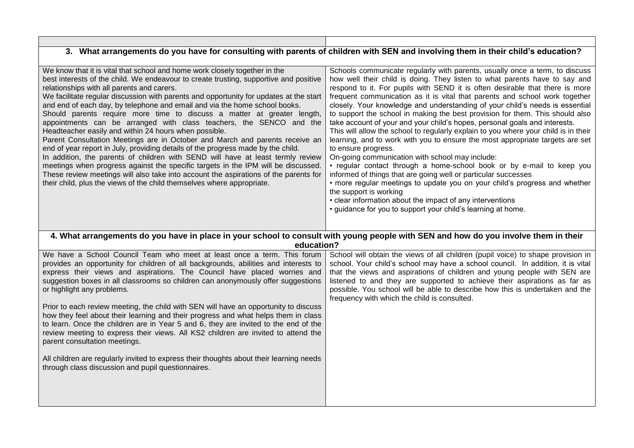## **3. What arrangements do you have for consulting with parents of children with SEN and involving them in their child's education?**

| We know that it is vital that school and home work closely together in the<br>best interests of the child. We endeavour to create trusting, supportive and positive<br>relationships with all parents and carers.<br>We facilitate regular discussion with parents and opportunity for updates at the start<br>and end of each day, by telephone and email and via the home school books.<br>Should parents require more time to discuss a matter at greater length,<br>appointments can be arranged with class teachers, the SENCO and the<br>Headteacher easily and within 24 hours when possible.<br>Parent Consultation Meetings are in October and March and parents receive an<br>end of year report in July, providing details of the progress made by the child.<br>In addition, the parents of children with SEND will have at least termly review<br>meetings when progress against the specific targets in the IPM will be discussed.<br>These review meetings will also take into account the aspirations of the parents for<br>their child, plus the views of the child themselves where appropriate. | Schools communicate regularly with parents, usually once a term, to discuss<br>how well their child is doing. They listen to what parents have to say and<br>respond to it. For pupils with SEND it is often desirable that there is more<br>frequent communication as it is vital that parents and school work together<br>closely. Your knowledge and understanding of your child's needs is essential<br>to support the school in making the best provision for them. This should also<br>take account of your and your child's hopes, personal goals and interests.<br>This will allow the school to regularly explain to you where your child is in their<br>learning, and to work with you to ensure the most appropriate targets are set<br>to ensure progress.<br>On-going communication with school may include:<br>· regular contact through a home-school book or by e-mail to keep you<br>informed of things that are going well or particular successes<br>• more regular meetings to update you on your child's progress and whether<br>the support is working<br>• clear information about the impact of any interventions<br>• guidance for you to support your child's learning at home. |
|--------------------------------------------------------------------------------------------------------------------------------------------------------------------------------------------------------------------------------------------------------------------------------------------------------------------------------------------------------------------------------------------------------------------------------------------------------------------------------------------------------------------------------------------------------------------------------------------------------------------------------------------------------------------------------------------------------------------------------------------------------------------------------------------------------------------------------------------------------------------------------------------------------------------------------------------------------------------------------------------------------------------------------------------------------------------------------------------------------------------|-----------------------------------------------------------------------------------------------------------------------------------------------------------------------------------------------------------------------------------------------------------------------------------------------------------------------------------------------------------------------------------------------------------------------------------------------------------------------------------------------------------------------------------------------------------------------------------------------------------------------------------------------------------------------------------------------------------------------------------------------------------------------------------------------------------------------------------------------------------------------------------------------------------------------------------------------------------------------------------------------------------------------------------------------------------------------------------------------------------------------------------------------------------------------------------------------------------|
| 4. What arrangements do you have in place in your school to consult with young people with SEN and how do you involve them in their                                                                                                                                                                                                                                                                                                                                                                                                                                                                                                                                                                                                                                                                                                                                                                                                                                                                                                                                                                                |                                                                                                                                                                                                                                                                                                                                                                                                                                                                                                                                                                                                                                                                                                                                                                                                                                                                                                                                                                                                                                                                                                                                                                                                           |
| education?                                                                                                                                                                                                                                                                                                                                                                                                                                                                                                                                                                                                                                                                                                                                                                                                                                                                                                                                                                                                                                                                                                         |                                                                                                                                                                                                                                                                                                                                                                                                                                                                                                                                                                                                                                                                                                                                                                                                                                                                                                                                                                                                                                                                                                                                                                                                           |
| We have a School Council Team who meet at least once a term. This forum<br>provides an opportunity for children of all backgrounds, abilities and interests to<br>express their views and aspirations. The Council have placed worries and<br>suggestion boxes in all classrooms so children can anonymously offer suggestions<br>or highlight any problems.<br>Prior to each review meeting, the child with SEN will have an opportunity to discuss<br>how they feel about their learning and their progress and what helps them in class<br>to learn. Once the children are in Year 5 and 6, they are invited to the end of the<br>review meeting to express their views. All KS2 children are invited to attend the<br>parent consultation meetings.<br>All children are regularly invited to express their thoughts about their learning needs                                                                                                                                                                                                                                                                 | School will obtain the views of all children (pupil voice) to shape provision in<br>school. Your child's school may have a school council. In addition, it is vital<br>that the views and aspirations of children and young people with SEN are<br>listened to and they are supported to achieve their aspirations as far as<br>possible. You school will be able to describe how this is undertaken and the<br>frequency with which the child is consulted.                                                                                                                                                                                                                                                                                                                                                                                                                                                                                                                                                                                                                                                                                                                                              |
| through class discussion and pupil questionnaires.                                                                                                                                                                                                                                                                                                                                                                                                                                                                                                                                                                                                                                                                                                                                                                                                                                                                                                                                                                                                                                                                 |                                                                                                                                                                                                                                                                                                                                                                                                                                                                                                                                                                                                                                                                                                                                                                                                                                                                                                                                                                                                                                                                                                                                                                                                           |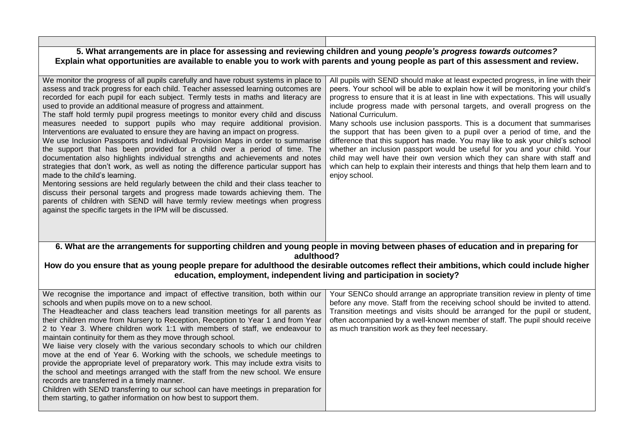| 5. What arrangements are in place for assessing and reviewing children and young people's progress towards outcomes?<br>Explain what opportunities are available to enable you to work with parents and young people as part of this assessment and review.                                                                                                                                                                                                                                                                                                                                                                                                                                                                                                                                                                                                                                                                                                                                                                                                                                                                                                                                                                                                                 |                                                                                                                                                                                                                                                                                                                                                                                                                                                                                                                                                                                                                                                                                                                                                                                                                                                                            |  |
|-----------------------------------------------------------------------------------------------------------------------------------------------------------------------------------------------------------------------------------------------------------------------------------------------------------------------------------------------------------------------------------------------------------------------------------------------------------------------------------------------------------------------------------------------------------------------------------------------------------------------------------------------------------------------------------------------------------------------------------------------------------------------------------------------------------------------------------------------------------------------------------------------------------------------------------------------------------------------------------------------------------------------------------------------------------------------------------------------------------------------------------------------------------------------------------------------------------------------------------------------------------------------------|----------------------------------------------------------------------------------------------------------------------------------------------------------------------------------------------------------------------------------------------------------------------------------------------------------------------------------------------------------------------------------------------------------------------------------------------------------------------------------------------------------------------------------------------------------------------------------------------------------------------------------------------------------------------------------------------------------------------------------------------------------------------------------------------------------------------------------------------------------------------------|--|
| We monitor the progress of all pupils carefully and have robust systems in place to<br>assess and track progress for each child. Teacher assessed learning outcomes are<br>recorded for each pupil for each subject. Termly tests in maths and literacy are<br>used to provide an additional measure of progress and attainment.<br>The staff hold termly pupil progress meetings to monitor every child and discuss<br>measures needed to support pupils who may require additional provision.<br>Interventions are evaluated to ensure they are having an impact on progress.<br>We use Inclusion Passports and Individual Provision Maps in order to summarise<br>the support that has been provided for a child over a period of time. The<br>documentation also highlights individual strengths and achievements and notes<br>strategies that don't work, as well as noting the difference particular support has<br>made to the child's learning.<br>Mentoring sessions are held regularly between the child and their class teacher to<br>discuss their personal targets and progress made towards achieving them. The<br>parents of children with SEND will have termly review meetings when progress<br>against the specific targets in the IPM will be discussed. | All pupils with SEND should make at least expected progress, in line with their<br>peers. Your school will be able to explain how it will be monitoring your child's<br>progress to ensure that it is at least in line with expectations. This will usually<br>include progress made with personal targets, and overall progress on the<br>National Curriculum.<br>Many schools use inclusion passports. This is a document that summarises<br>the support that has been given to a pupil over a period of time, and the<br>difference that this support has made. You may like to ask your child's school<br>whether an inclusion passport would be useful for you and your child. Your<br>child may well have their own version which they can share with staff and<br>which can help to explain their interests and things that help them learn and to<br>enjoy school. |  |
| 6. What are the arrangements for supporting children and young people in moving between phases of education and in preparing for                                                                                                                                                                                                                                                                                                                                                                                                                                                                                                                                                                                                                                                                                                                                                                                                                                                                                                                                                                                                                                                                                                                                            |                                                                                                                                                                                                                                                                                                                                                                                                                                                                                                                                                                                                                                                                                                                                                                                                                                                                            |  |
| adulthood?                                                                                                                                                                                                                                                                                                                                                                                                                                                                                                                                                                                                                                                                                                                                                                                                                                                                                                                                                                                                                                                                                                                                                                                                                                                                  |                                                                                                                                                                                                                                                                                                                                                                                                                                                                                                                                                                                                                                                                                                                                                                                                                                                                            |  |
| How do you ensure that as young people prepare for adulthood the desirable outcomes reflect their ambitions, which could include higher                                                                                                                                                                                                                                                                                                                                                                                                                                                                                                                                                                                                                                                                                                                                                                                                                                                                                                                                                                                                                                                                                                                                     |                                                                                                                                                                                                                                                                                                                                                                                                                                                                                                                                                                                                                                                                                                                                                                                                                                                                            |  |
| education, employment, independent living and participation in society?                                                                                                                                                                                                                                                                                                                                                                                                                                                                                                                                                                                                                                                                                                                                                                                                                                                                                                                                                                                                                                                                                                                                                                                                     |                                                                                                                                                                                                                                                                                                                                                                                                                                                                                                                                                                                                                                                                                                                                                                                                                                                                            |  |
| We recognise the importance and impact of effective transition, both within our<br>schools and when pupils move on to a new school.<br>The Headteacher and class teachers lead transition meetings for all parents as<br>their children move from Nursery to Reception, Reception to Year 1 and from Year<br>2 to Year 3. Where children work 1:1 with members of staff, we endeavour to<br>maintain continuity for them as they move through school.<br>We liaise very closely with the various secondary schools to which our children<br>move at the end of Year 6. Working with the schools, we schedule meetings to<br>provide the appropriate level of preparatory work. This may include extra visits to<br>the school and meetings arranged with the staff from the new school. We ensure<br>records are transferred in a timely manner.<br>Children with SEND transferring to our school can have meetings in preparation for<br>them starting, to gather information on how best to support them.                                                                                                                                                                                                                                                                 | Your SENCo should arrange an appropriate transition review in plenty of time<br>before any move. Staff from the receiving school should be invited to attend.<br>Transition meetings and visits should be arranged for the pupil or student,<br>often accompanied by a well-known member of staff. The pupil should receive<br>as much transition work as they feel necessary.                                                                                                                                                                                                                                                                                                                                                                                                                                                                                             |  |

п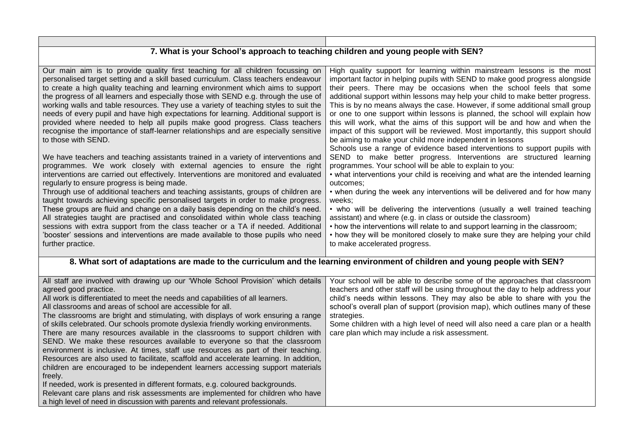## **7. What is your School's approach to teaching children and young people with SEN?**

| Our main aim is to provide quality first teaching for all children focussing on<br>personalised target setting and a skill based curriculum. Class teachers endeavour<br>to create a high quality teaching and learning environment which aims to support<br>the progress of all learners and especially those with SEND e.g. through the use of<br>working walls and table resources. They use a variety of teaching styles to suit the<br>needs of every pupil and have high expectations for learning. Additional support is<br>provided where needed to help all pupils make good progress. Class teachers<br>recognise the importance of staff-learner relationships and are especially sensitive<br>to those with SEND.<br>We have teachers and teaching assistants trained in a variety of interventions and<br>programmes. We work closely with external agencies to ensure the right<br>interventions are carried out effectively. Interventions are monitored and evaluated<br>regularly to ensure progress is being made.<br>Through use of additional teachers and teaching assistants, groups of children are<br>taught towards achieving specific personalised targets in order to make progress.<br>These groups are fluid and change on a daily basis depending on the child's need.<br>All strategies taught are practised and consolidated within whole class teaching<br>sessions with extra support from the class teacher or a TA if needed. Additional<br>'booster' sessions and interventions are made available to those pupils who need<br>further practice. | High quality support for learning within mainstream lessons is the most<br>important factor in helping pupils with SEND to make good progress alongside<br>their peers. There may be occasions when the school feels that some<br>additional support within lessons may help your child to make better progress.<br>This is by no means always the case. However, if some additional small group<br>or one to one support within lessons is planned, the school will explain how<br>this will work, what the aims of this support will be and how and when the<br>impact of this support will be reviewed. Most importantly, this support should<br>be aiming to make your child more independent in lessons<br>Schools use a range of evidence based interventions to support pupils with<br>SEND to make better progress. Interventions are structured learning<br>programmes. Your school will be able to explain to you:<br>• what interventions your child is receiving and what are the intended learning<br>outcomes:<br>• when during the week any interventions will be delivered and for how many<br>weeks:<br>• who will be delivering the interventions (usually a well trained teaching<br>assistant) and where (e.g. in class or outside the classroom)<br>• how the interventions will relate to and support learning in the classroom;<br>. how they will be monitored closely to make sure they are helping your child<br>to make accelerated progress. |
|---------------------------------------------------------------------------------------------------------------------------------------------------------------------------------------------------------------------------------------------------------------------------------------------------------------------------------------------------------------------------------------------------------------------------------------------------------------------------------------------------------------------------------------------------------------------------------------------------------------------------------------------------------------------------------------------------------------------------------------------------------------------------------------------------------------------------------------------------------------------------------------------------------------------------------------------------------------------------------------------------------------------------------------------------------------------------------------------------------------------------------------------------------------------------------------------------------------------------------------------------------------------------------------------------------------------------------------------------------------------------------------------------------------------------------------------------------------------------------------------------------------------------------------------------------------------------------------|--------------------------------------------------------------------------------------------------------------------------------------------------------------------------------------------------------------------------------------------------------------------------------------------------------------------------------------------------------------------------------------------------------------------------------------------------------------------------------------------------------------------------------------------------------------------------------------------------------------------------------------------------------------------------------------------------------------------------------------------------------------------------------------------------------------------------------------------------------------------------------------------------------------------------------------------------------------------------------------------------------------------------------------------------------------------------------------------------------------------------------------------------------------------------------------------------------------------------------------------------------------------------------------------------------------------------------------------------------------------------------------------------------------------------------------------------------------------------|
| 8. What sort of adaptations are made to the curriculum and the learning environment of children and young people with SEN?                                                                                                                                                                                                                                                                                                                                                                                                                                                                                                                                                                                                                                                                                                                                                                                                                                                                                                                                                                                                                                                                                                                                                                                                                                                                                                                                                                                                                                                            |                                                                                                                                                                                                                                                                                                                                                                                                                                                                                                                                                                                                                                                                                                                                                                                                                                                                                                                                                                                                                                                                                                                                                                                                                                                                                                                                                                                                                                                                          |
| All staff are involved with drawing up our 'Whole School Provision' which details                                                                                                                                                                                                                                                                                                                                                                                                                                                                                                                                                                                                                                                                                                                                                                                                                                                                                                                                                                                                                                                                                                                                                                                                                                                                                                                                                                                                                                                                                                     | Your school will be able to describe some of the approaches that classroom                                                                                                                                                                                                                                                                                                                                                                                                                                                                                                                                                                                                                                                                                                                                                                                                                                                                                                                                                                                                                                                                                                                                                                                                                                                                                                                                                                                               |
| agreed good practice.<br>All work is differentiated to meet the needs and capabilities of all learners.<br>All classrooms and areas of school are accessible for all.<br>The classrooms are bright and stimulating, with displays of work ensuring a range<br>of skills celebrated. Our schools promote dyslexia friendly working environments.<br>There are many resources available in the classrooms to support children with<br>SEND. We make these resources available to everyone so that the classroom<br>environment is inclusive. At times, staff use resources as part of their teaching.<br>Resources are also used to facilitate, scaffold and accelerate learning. In addition,<br>children are encouraged to be independent learners accessing support materials<br>freely.<br>If needed, work is presented in different formats, e.g. coloured backgrounds.<br>Relevant care plans and risk assessments are implemented for children who have                                                                                                                                                                                                                                                                                                                                                                                                                                                                                                                                                                                                                          | teachers and other staff will be using throughout the day to help address your<br>child's needs within lessons. They may also be able to share with you the<br>school's overall plan of support (provision map), which outlines many of these<br>strategies.<br>Some children with a high level of need will also need a care plan or a health<br>care plan which may include a risk assessment.                                                                                                                                                                                                                                                                                                                                                                                                                                                                                                                                                                                                                                                                                                                                                                                                                                                                                                                                                                                                                                                                         |
| a high level of need in discussion with parents and relevant professionals.                                                                                                                                                                                                                                                                                                                                                                                                                                                                                                                                                                                                                                                                                                                                                                                                                                                                                                                                                                                                                                                                                                                                                                                                                                                                                                                                                                                                                                                                                                           |                                                                                                                                                                                                                                                                                                                                                                                                                                                                                                                                                                                                                                                                                                                                                                                                                                                                                                                                                                                                                                                                                                                                                                                                                                                                                                                                                                                                                                                                          |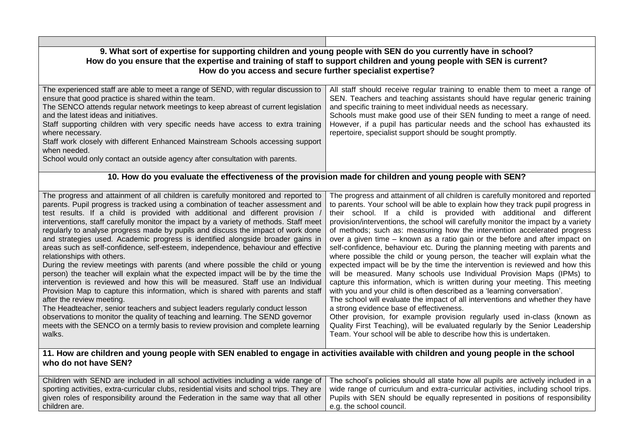#### **9. What sort of expertise for supporting children and young people with SEN do you currently have in school? How do you ensure that the expertise and training of staff to support children and young people with SEN is current? How do you access and secure further specialist expertise?**

| The experienced staff are able to meet a range of SEND, with regular discussion to | All staff should receive regular training to enable them to meet a range of |
|------------------------------------------------------------------------------------|-----------------------------------------------------------------------------|
| ensure that good practice is shared within the team.                               | SEN. Teachers and teaching assistants should have regular generic training  |
| The SENCO attends regular network meetings to keep abreast of current legislation  | and specific training to meet individual needs as necessary.                |
| and the latest ideas and initiatives.                                              | Schools must make good use of their SEN funding to meet a range of need.    |
| Staff supporting children with very specific needs have access to extra training   | However, if a pupil has particular needs and the school has exhausted its   |
| where necessary.                                                                   | repertoire, specialist support should be sought promptly.                   |
| Staff work closely with different Enhanced Mainstream Schools accessing support    |                                                                             |
| when needed.                                                                       |                                                                             |
| School would only contact an outside agency after consultation with parents.       |                                                                             |
|                                                                                    |                                                                             |

### **10. How do you evaluate the effectiveness of the provision made for children and young people with SEN?**

| The progress and attainment of all children is carefully monitored and reported to<br>parents. Pupil progress is tracked using a combination of teacher assessment and<br>test results. If a child is provided with additional and different provision<br>interventions, staff carefully monitor the impact by a variety of methods. Staff meet<br>regularly to analyse progress made by pupils and discuss the impact of work done<br>and strategies used. Academic progress is identified alongside broader gains in<br>areas such as self-confidence, self-esteem, independence, behaviour and effective<br>relationships with others.<br>During the review meetings with parents (and where possible the child or young<br>person) the teacher will explain what the expected impact will be by the time the<br>intervention is reviewed and how this will be measured. Staff use an Individual<br>Provision Map to capture this information, which is shared with parents and staff<br>after the review meeting. | The progress and attainment of all children is carefully monitored and reported<br>to parents. Your school will be able to explain how they track pupil progress in<br>their school. If a child is provided with additional and different<br>provision/interventions, the school will carefully monitor the impact by a variety<br>of methods; such as: measuring how the intervention accelerated progress<br>over a given time – known as a ratio gain or the before and after impact on<br>self-confidence, behaviour etc. During the planning meeting with parents and<br>where possible the child or young person, the teacher will explain what the<br>expected impact will be by the time the intervention is reviewed and how this<br>will be measured. Many schools use Individual Provision Maps (IPMs) to<br>capture this information, which is written during your meeting. This meeting<br>with you and your child is often described as a 'learning conversation'.<br>The school will evaluate the impact of all interventions and whether they have |
|-----------------------------------------------------------------------------------------------------------------------------------------------------------------------------------------------------------------------------------------------------------------------------------------------------------------------------------------------------------------------------------------------------------------------------------------------------------------------------------------------------------------------------------------------------------------------------------------------------------------------------------------------------------------------------------------------------------------------------------------------------------------------------------------------------------------------------------------------------------------------------------------------------------------------------------------------------------------------------------------------------------------------|--------------------------------------------------------------------------------------------------------------------------------------------------------------------------------------------------------------------------------------------------------------------------------------------------------------------------------------------------------------------------------------------------------------------------------------------------------------------------------------------------------------------------------------------------------------------------------------------------------------------------------------------------------------------------------------------------------------------------------------------------------------------------------------------------------------------------------------------------------------------------------------------------------------------------------------------------------------------------------------------------------------------------------------------------------------------|
|                                                                                                                                                                                                                                                                                                                                                                                                                                                                                                                                                                                                                                                                                                                                                                                                                                                                                                                                                                                                                       |                                                                                                                                                                                                                                                                                                                                                                                                                                                                                                                                                                                                                                                                                                                                                                                                                                                                                                                                                                                                                                                                    |
| The Headteacher, senior teachers and subject leaders regularly conduct lesson                                                                                                                                                                                                                                                                                                                                                                                                                                                                                                                                                                                                                                                                                                                                                                                                                                                                                                                                         | a strong evidence base of effectiveness.                                                                                                                                                                                                                                                                                                                                                                                                                                                                                                                                                                                                                                                                                                                                                                                                                                                                                                                                                                                                                           |
| observations to monitor the quality of teaching and learning. The SEND governor<br>meets with the SENCO on a termly basis to review provision and complete learning<br>walks.                                                                                                                                                                                                                                                                                                                                                                                                                                                                                                                                                                                                                                                                                                                                                                                                                                         | Other provision, for example provision regularly used in-class (known as<br>Quality First Teaching), will be evaluated regularly by the Senior Leadership<br>Team. Your school will be able to describe how this is undertaken.                                                                                                                                                                                                                                                                                                                                                                                                                                                                                                                                                                                                                                                                                                                                                                                                                                    |

#### **11. How are children and young people with SEN enabled to engage in activities available with children and young people in the school who do not have SEN?**

| Children with SEND are included in all school activities including a wide range of   The school's policies should all state how all pupils are actively included in a          |                            |
|--------------------------------------------------------------------------------------------------------------------------------------------------------------------------------|----------------------------|
| sporting activities, extra-curricular clubs, residential visits and school trips. They are   wide range of curriculum and extra-curricular activities, including school trips. |                            |
| given roles of responsibility around the Federation in the same way that all other   Pupils with SEN should be equally represented in positions of responsibility              |                            |
| children are.                                                                                                                                                                  | l_e.a. the school council. |